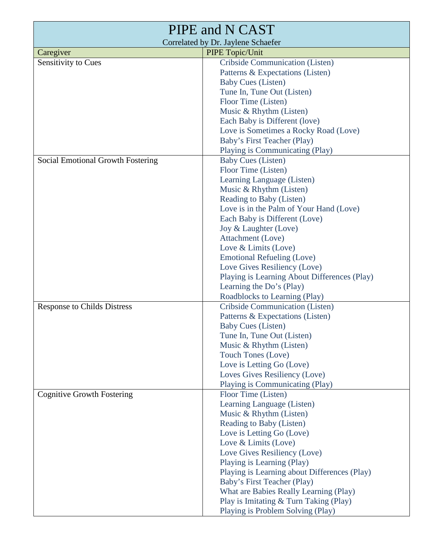| PIPE and N CAST                    |                                              |  |
|------------------------------------|----------------------------------------------|--|
| Correlated by Dr. Jaylene Schaefer |                                              |  |
| Caregiver                          | PIPE Topic/Unit                              |  |
| Sensitivity to Cues                | Cribside Communication (Listen)              |  |
|                                    | Patterns & Expectations (Listen)             |  |
|                                    | <b>Baby Cues (Listen)</b>                    |  |
|                                    | Tune In, Tune Out (Listen)                   |  |
|                                    | Floor Time (Listen)                          |  |
|                                    | Music & Rhythm (Listen)                      |  |
|                                    | Each Baby is Different (love)                |  |
|                                    | Love is Sometimes a Rocky Road (Love)        |  |
|                                    | Baby's First Teacher (Play)                  |  |
|                                    | Playing is Communicating (Play)              |  |
| Social Emotional Growth Fostering  | <b>Baby Cues (Listen)</b>                    |  |
|                                    | Floor Time (Listen)                          |  |
|                                    | Learning Language (Listen)                   |  |
|                                    | Music & Rhythm (Listen)                      |  |
|                                    | Reading to Baby (Listen)                     |  |
|                                    | Love is in the Palm of Your Hand (Love)      |  |
|                                    | Each Baby is Different (Love)                |  |
|                                    | Joy & Laughter (Love)                        |  |
|                                    | Attachment (Love)                            |  |
|                                    | Love & Limits (Love)                         |  |
|                                    | <b>Emotional Refueling (Love)</b>            |  |
|                                    | Love Gives Resiliency (Love)                 |  |
|                                    | Playing is Learning About Differences (Play) |  |
|                                    | Learning the Do's (Play)                     |  |
|                                    | Roadblocks to Learning (Play)                |  |
| <b>Response to Childs Distress</b> | Cribside Communication (Listen)              |  |
|                                    | Patterns & Expectations (Listen)             |  |
|                                    | <b>Baby Cues (Listen)</b>                    |  |
|                                    | Tune In, Tune Out (Listen)                   |  |
|                                    | Music & Rhythm (Listen)                      |  |
|                                    | Touch Tones (Love)                           |  |
|                                    | Love is Letting Go (Love)                    |  |
|                                    | Loves Gives Resiliency (Love)                |  |
|                                    | Playing is Communicating (Play)              |  |
| <b>Cognitive Growth Fostering</b>  | Floor Time (Listen)                          |  |
|                                    | Learning Language (Listen)                   |  |
|                                    | Music & Rhythm (Listen)                      |  |
|                                    | Reading to Baby (Listen)                     |  |
|                                    | Love is Letting Go (Love)                    |  |
|                                    | Love & Limits (Love)                         |  |
|                                    | Love Gives Resiliency (Love)                 |  |
|                                    | Playing is Learning (Play)                   |  |
|                                    | Playing is Learning about Differences (Play) |  |
|                                    | Baby's First Teacher (Play)                  |  |
|                                    | What are Babies Really Learning (Play)       |  |
|                                    | Play is Imitating & Turn Taking (Play)       |  |
|                                    | Playing is Problem Solving (Play)            |  |